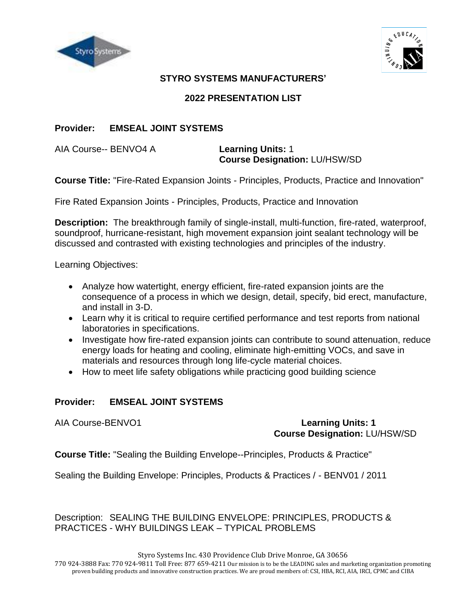



## **STYRO SYSTEMS MANUFACTURERS'**

## **2022 PRESENTATION LIST**

## **Provider: EMSEAL JOINT SYSTEMS**

AIA Course-- BENVO4 A **Learning Units:** 1

# **Course Designation:** LU/HSW/SD

**Course Title:** "Fire-Rated Expansion Joints - Principles, Products, Practice and Innovation"

Fire Rated Expansion Joints - Principles, Products, Practice and Innovation

**Description:** The breakthrough family of single-install, multi-function, fire-rated, waterproof, soundproof, hurricane-resistant, high movement expansion joint sealant technology will be discussed and contrasted with existing technologies and principles of the industry.

Learning Objectives:

- Analyze how watertight, energy efficient, fire-rated expansion joints are the consequence of a process in which we design, detail, specify, bid erect, manufacture, and install in 3-D.
- Learn why it is critical to require certified performance and test reports from national laboratories in specifications.
- Investigate how fire-rated expansion joints can contribute to sound attenuation, reduce energy loads for heating and cooling, eliminate high-emitting VOCs, and save in materials and resources through long life-cycle material choices.
- How to meet life safety obligations while practicing good building science

## **Provider: EMSEAL JOINT SYSTEMS**

#### AIA Course-BENVO1 **Learning Units: 1 Course Designation:** LU/HSW/SD

**Course Title:** "Sealing the Building Envelope--Principles, Products & Practice"

Sealing the Building Envelope: Principles, Products & Practices / - BENV01 / 2011

Description: SEALING THE BUILDING ENVELOPE: PRINCIPLES, PRODUCTS & PRACTICES - WHY BUILDINGS LEAK – TYPICAL PROBLEMS

Styro Systems Inc. 430 Providence Club Drive Monroe, GA 30656

770 924-3888 Fax: 770 924-9811 Toll Free: 877 659-4211 Our mission is to be the LEADING sales and marketing organization promoting proven building products and innovative construction practices. We are proud members of: CSI, HBA, RCI, AIA, IRCI, CPMC and CIBA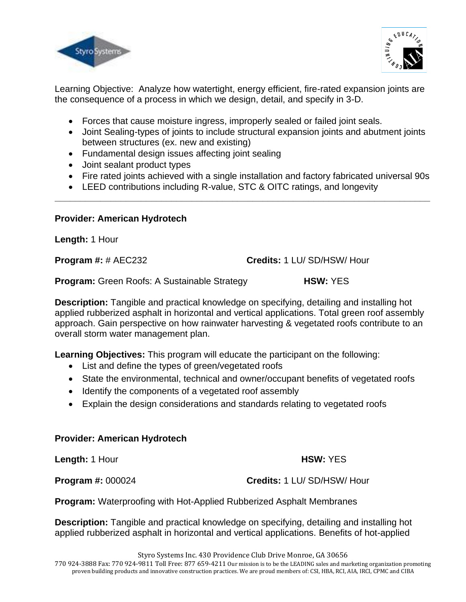



Learning Objective: Analyze how watertight, energy efficient, fire-rated expansion joints are the consequence of a process in which we design, detail, and specify in 3-D.

- Forces that cause moisture ingress, improperly sealed or failed joint seals.
- Joint Sealing-types of joints to include structural expansion joints and abutment joints between structures (ex. new and existing)
- Fundamental design issues affecting joint sealing
- Joint sealant product types
- Fire rated joints achieved with a single installation and factory fabricated universal 90s

**\_\_\_\_\_\_\_\_\_\_\_\_\_\_\_\_\_\_\_\_\_\_\_\_\_\_\_\_\_\_\_\_\_\_\_\_\_\_\_\_\_\_\_\_\_\_\_\_\_\_\_\_\_\_\_\_\_\_\_\_\_\_\_\_\_\_\_\_\_\_\_\_\_\_**

• LEED contributions including R-value, STC & OITC ratings, and longevity

#### **Provider: American Hydrotech**

**Length:** 1 Hour

**Program #:** # AEC232 **Credits:** 1 LU/ SD/HSW/ Hour

**Program:** Green Roofs: A Sustainable Strategy **HSW:** YES

**Description:** Tangible and practical knowledge on specifying, detailing and installing hot applied rubberized asphalt in horizontal and vertical applications. Total green roof assembly approach. Gain perspective on how rainwater harvesting & vegetated roofs contribute to an overall storm water management plan.

**Learning Objectives:** This program will educate the participant on the following:

- List and define the types of green/vegetated roofs
- State the environmental, technical and owner/occupant benefits of vegetated roofs
- Identify the components of a vegetated roof assembly
- Explain the design considerations and standards relating to vegetated roofs

#### **Provider: American Hydrotech**

**Length:** 1 Hour **HSW:**  $YES$ 

**Program #:** 000024 **Credits:** 1 LU/ SD/HSW/ Hour

**Program:** Waterproofing with Hot-Applied Rubberized Asphalt Membranes

**Description:** Tangible and practical knowledge on specifying, detailing and installing hot applied rubberized asphalt in horizontal and vertical applications. Benefits of hot-applied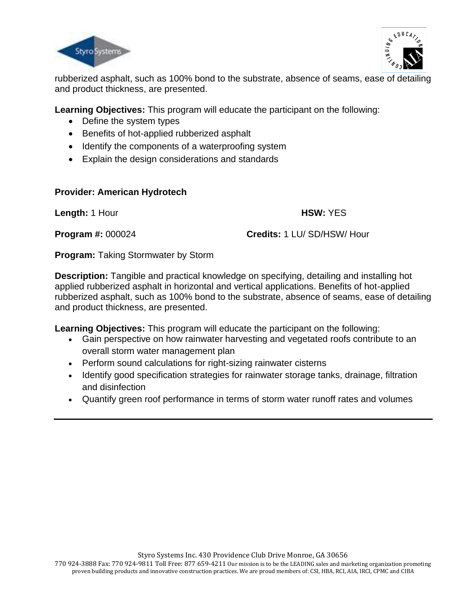



rubberized asphalt, such as 100% bond to the substrate, absence of seams, ease of detailing and product thickness, are presented.

**Learning Objectives:** This program will educate the participant on the following:

- Define the system types
- Benefits of hot-applied rubberized asphalt
- Identify the components of a waterproofing system
- Explain the design considerations and standards

## **Provider: American Hydrotech**

**Length:** 1 Hour **Length:** 1 Hour

**Program #:** 000024 **Credits:** 1 LU/ SD/HSW/ Hour

**Program: Taking Stormwater by Storm** 

**Description:** Tangible and practical knowledge on specifying, detailing and installing hot applied rubberized asphalt in horizontal and vertical applications. Benefits of hot-applied rubberized asphalt, such as 100% bond to the substrate, absence of seams, ease of detailing and product thickness, are presented.

**Learning Objectives:** This program will educate the participant on the following:

- Gain perspective on how rainwater harvesting and vegetated roofs contribute to an overall storm water management plan
- Perform sound calculations for right-sizing rainwater cisterns
- Identify good specification strategies for rainwater storage tanks, drainage, filtration and disinfection
- Quantify green roof performance in terms of storm water runoff rates and volumes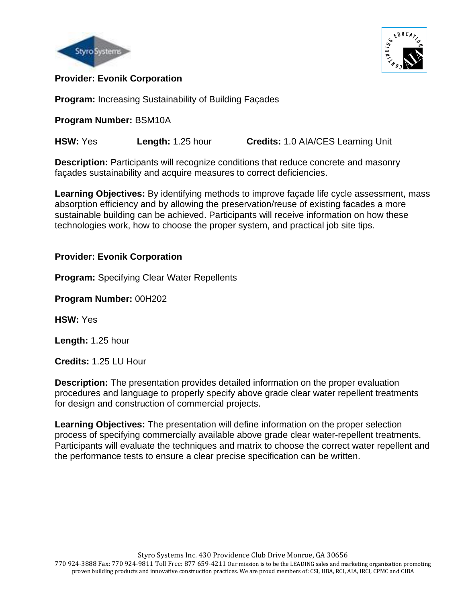



#### l **Provider: Evonik Corporation**

**Program:** Increasing Sustainability of Building Façades

**Program Number:** BSM10A

**HSW:** Yes **Length:** 1.25 hour **Credits:** 1.0 AIA/CES Learning Unit

**Description:** Participants will recognize conditions that reduce concrete and masonry façades sustainability and acquire measures to correct deficiencies.

**Learning Objectives:** By identifying methods to improve façade life cycle assessment, mass absorption efficiency and by allowing the preservation/reuse of existing facades a more sustainable building can be achieved. Participants will receive information on how these technologies work, how to choose the proper system, and practical job site tips.

## **Provider: Evonik Corporation**

**Program:** Specifying Clear Water Repellents

**Program Number:** 00H202

**HSW:** Yes

**Length:** 1.25 hour

**Credits:** 1.25 LU Hour

**Description:** The presentation provides detailed information on the proper evaluation procedures and language to properly specify above grade clear water repellent treatments for design and construction of commercial projects.

**Learning Objectives:** The presentation will define information on the proper selection process of specifying commercially available above grade clear water-repellent treatments. Participants will evaluate the techniques and matrix to choose the correct water repellent and the performance tests to ensure a clear precise specification can be written.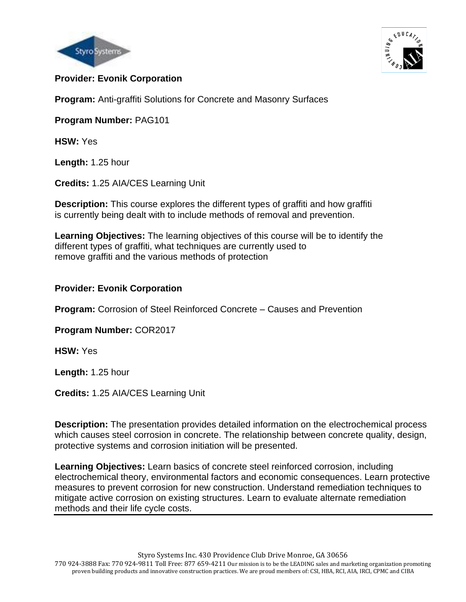



#### l **Provider: Evonik Corporation**

**Program:** Anti-graffiti Solutions for Concrete and Masonry Surfaces

**Program Number:** PAG101

**HSW:** Yes

**Length:** 1.25 hour

**Credits:** 1.25 AIA/CES Learning Unit

**Description:** This course explores the different types of graffiti and how graffiti is currently being dealt with to include methods of removal and prevention.

**Learning Objectives:** The learning objectives of this course will be to identify the different types of graffiti, what techniques are currently used to remove graffiti and the various methods of protection

## **Provider: Evonik Corporation**

**Program:** Corrosion of Steel Reinforced Concrete – Causes and Prevention

**Program Number:** COR2017

**HSW:** Yes

**Length:** 1.25 hour

**Credits:** 1.25 AIA/CES Learning Unit

**Description:** The presentation provides detailed information on the electrochemical process which causes steel corrosion in concrete. The relationship between concrete quality, design, protective systems and corrosion initiation will be presented.

**Learning Objectives:** Learn basics of concrete steel reinforced corrosion, including electrochemical theory, environmental factors and economic consequences. Learn protective measures to prevent corrosion for new construction. Understand remediation techniques to mitigate active corrosion on existing structures. Learn to evaluate alternate remediation methods and their life cycle costs.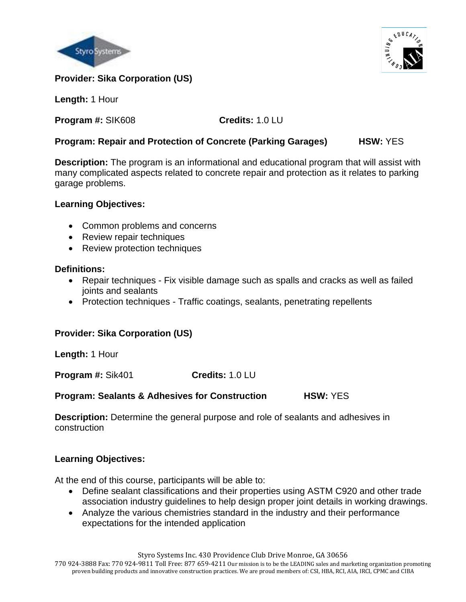



**Length:** 1 Hour

**Program #:** SIK608 **Credits:** 1.0 LU

## **Program: Repair and Protection of Concrete (Parking Garages) HSW:** YES

**Description:** The program is an informational and educational program that will assist with many complicated aspects related to concrete repair and protection as it relates to parking garage problems.

## **Learning Objectives:**

- Common problems and concerns
- Review repair techniques
- Review protection techniques

## **Definitions:**

- Repair techniques Fix visible damage such as spalls and cracks as well as failed joints and sealants
- Protection techniques Traffic coatings, sealants, penetrating repellents

## **Provider: Sika Corporation (US)**

**Length:** 1 Hour

**Program #:** Sik401 **Credits:** 1.0 LU

#### **Program: Sealants & Adhesives for Construction HSW:** YES

**Description:** Determine the general purpose and role of sealants and adhesives in construction

## **Learning Objectives:**

At the end of this course, participants will be able to:

- Define sealant classifications and their properties using ASTM C920 and other trade association industry guidelines to help design proper joint details in working drawings.
- Analyze the various chemistries standard in the industry and their performance expectations for the intended application

Styro Systems Inc. 430 Providence Club Drive Monroe, GA 30656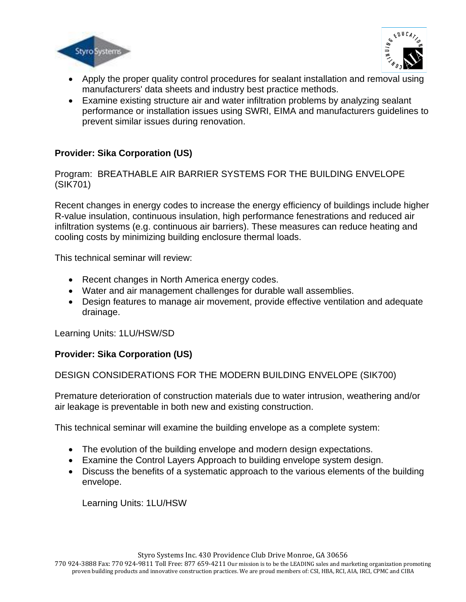



- Apply the proper quality control procedures for sealant installation and removal using manufacturers' data sheets and industry best practice methods.
- Examine existing structure air and water infiltration problems by analyzing sealant performance or installation issues using SWRI, EIMA and manufacturers guidelines to prevent similar issues during renovation.

Program: BREATHABLE AIR BARRIER SYSTEMS FOR THE BUILDING ENVELOPE (SIK701)

Recent changes in energy codes to increase the energy efficiency of buildings include higher R-value insulation, continuous insulation, high performance fenestrations and reduced air infiltration systems (e.g. continuous air barriers). These measures can reduce heating and cooling costs by minimizing building enclosure thermal loads.

This technical seminar will review:

- Recent changes in North America energy codes.
- Water and air management challenges for durable wall assemblies.
- Design features to manage air movement, provide effective ventilation and adequate drainage.

Learning Units: 1LU/HSW/SD

#### **Provider: Sika Corporation (US)**

#### DESIGN CONSIDERATIONS FOR THE MODERN BUILDING ENVELOPE (SIK700)

Premature deterioration of construction materials due to water intrusion, weathering and/or air leakage is preventable in both new and existing construction.

This technical seminar will examine the building envelope as a complete system:

- The evolution of the building envelope and modern design expectations.
- Examine the Control Layers Approach to building envelope system design.
- Discuss the benefits of a systematic approach to the various elements of the building envelope.

Learning Units: 1LU/HSW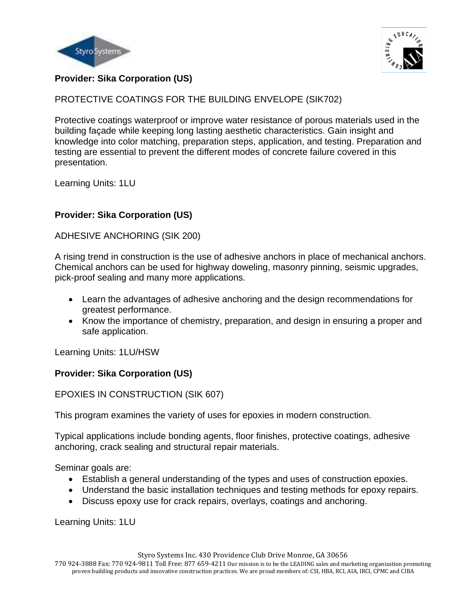



PROTECTIVE COATINGS FOR THE BUILDING ENVELOPE (SIK702)

Protective coatings waterproof or improve water resistance of porous materials used in the building façade while keeping long lasting aesthetic characteristics. Gain insight and knowledge into color matching, preparation steps, application, and testing. Preparation and testing are essential to prevent the different modes of concrete failure covered in this presentation.

Learning Units: 1LU

# **Provider: Sika Corporation (US)**

ADHESIVE ANCHORING (SIK 200)

A rising trend in construction is the use of adhesive anchors in place of mechanical anchors. Chemical anchors can be used for highway doweling, masonry pinning, seismic upgrades, pick-proof sealing and many more applications.

- Learn the advantages of adhesive anchoring and the design recommendations for greatest performance.
- Know the importance of chemistry, preparation, and design in ensuring a proper and safe application.

Learning Units: 1LU/HSW

## **Provider: Sika Corporation (US)**

EPOXIES IN CONSTRUCTION (SIK 607)

This program examines the variety of uses for epoxies in modern construction.

Typical applications include bonding agents, floor finishes, protective coatings, adhesive anchoring, crack sealing and structural repair materials.

Seminar goals are:

- Establish a general understanding of the types and uses of construction epoxies.
- Understand the basic installation techniques and testing methods for epoxy repairs.
- Discuss epoxy use for crack repairs, overlays, coatings and anchoring.

Learning Units: 1LU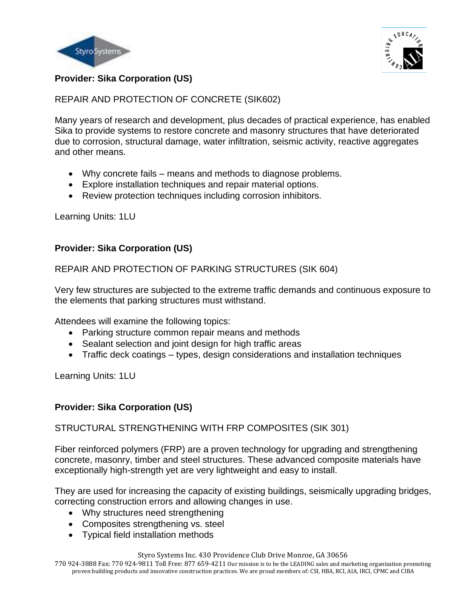



REPAIR AND PROTECTION OF CONCRETE (SIK602)

Many years of research and development, plus decades of practical experience, has enabled Sika to provide systems to restore concrete and masonry structures that have deteriorated due to corrosion, structural damage, water infiltration, seismic activity, reactive aggregates and other means.

- Why concrete fails means and methods to diagnose problems.
- Explore installation techniques and repair material options.
- Review protection techniques including corrosion inhibitors.

Learning Units: 1LU

## **Provider: Sika Corporation (US)**

## REPAIR AND PROTECTION OF PARKING STRUCTURES (SIK 604)

Very few structures are subjected to the extreme traffic demands and continuous exposure to the elements that parking structures must withstand.

Attendees will examine the following topics:

- Parking structure common repair means and methods
- Sealant selection and joint design for high traffic areas
- Traffic deck coatings types, design considerations and installation techniques

Learning Units: 1LU

## **Provider: Sika Corporation (US)**

#### STRUCTURAL STRENGTHENING WITH FRP COMPOSITES (SIK 301)

Fiber reinforced polymers (FRP) are a proven technology for upgrading and strengthening concrete, masonry, timber and steel structures. These advanced composite materials have exceptionally high-strength yet are very lightweight and easy to install.

They are used for increasing the capacity of existing buildings, seismically upgrading bridges, correcting construction errors and allowing changes in use.

- Why structures need strengthening
- Composites strengthening vs. steel
- Typical field installation methods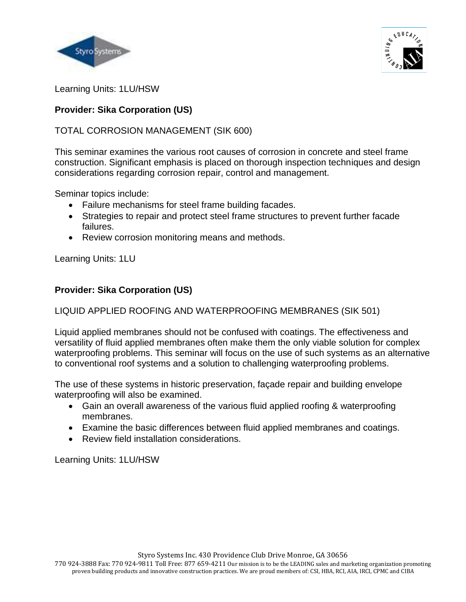



Learning Units: 1LU/HSW

# **Provider: Sika Corporation (US)**

## TOTAL CORROSION MANAGEMENT (SIK 600)

This seminar examines the various root causes of corrosion in concrete and steel frame construction. Significant emphasis is placed on thorough inspection techniques and design considerations regarding corrosion repair, control and management.

Seminar topics include:

- Failure mechanisms for steel frame building facades.
- Strategies to repair and protect steel frame structures to prevent further facade failures.
- Review corrosion monitoring means and methods.

Learning Units: 1LU

## **Provider: Sika Corporation (US)**

## LIQUID APPLIED ROOFING AND WATERPROOFING MEMBRANES (SIK 501)

Liquid applied membranes should not be confused with coatings. The effectiveness and versatility of fluid applied membranes often make them the only viable solution for complex waterproofing problems. This seminar will focus on the use of such systems as an alternative to conventional roof systems and a solution to challenging waterproofing problems.

The use of these systems in historic preservation, façade repair and building envelope waterproofing will also be examined.

- Gain an overall awareness of the various fluid applied roofing & waterproofing membranes.
- Examine the basic differences between fluid applied membranes and coatings.
- Review field installation considerations.

Learning Units: 1LU/HSW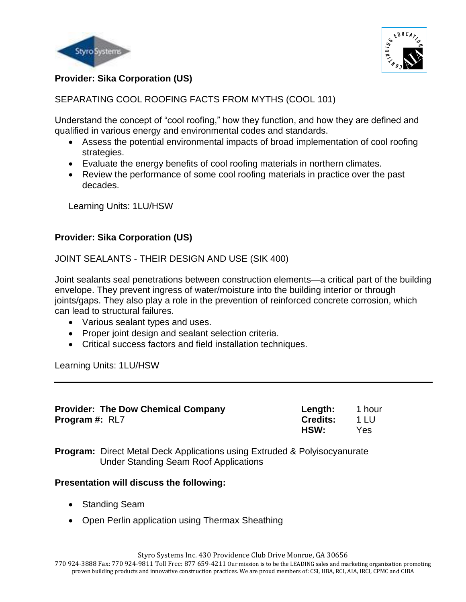



SEPARATING COOL ROOFING FACTS FROM MYTHS (COOL 101)

Understand the concept of "cool roofing," how they function, and how they are defined and qualified in various energy and environmental codes and standards.

- Assess the potential environmental impacts of broad implementation of cool roofing strategies.
- Evaluate the energy benefits of cool roofing materials in northern climates.
- Review the performance of some cool roofing materials in practice over the past decades.

Learning Units: 1LU/HSW

## **Provider: Sika Corporation (US)**

JOINT SEALANTS - THEIR DESIGN AND USE (SIK 400)

Joint sealants seal penetrations between construction elements—a critical part of the building envelope. They prevent ingress of water/moisture into the building interior or through joints/gaps. They also play a role in the prevention of reinforced concrete corrosion, which can lead to structural failures.

- Various sealant types and uses.
- Proper joint design and sealant selection criteria.
- Critical success factors and field installation techniques.

Learning Units: 1LU/HSW

| <b>Provider: The Dow Chemical Company</b> | Length:         | 1 hour |
|-------------------------------------------|-----------------|--------|
| <b>Program #: RL7</b>                     | <b>Credits:</b> | $-11U$ |
|                                           | HSW:            | Yes    |

**Program:** Direct Metal Deck Applications using Extruded & Polyisocyanurate Under Standing Seam Roof Applications

#### **Presentation will discuss the following:**

- Standing Seam
- Open Perlin application using Thermax Sheathing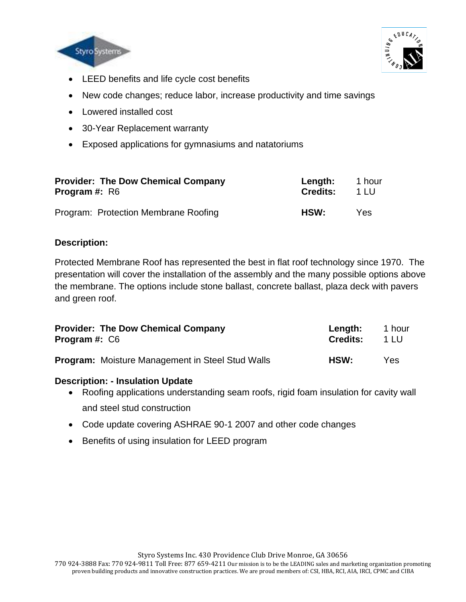



- LEED benefits and life cycle cost benefits
- New code changes; reduce labor, increase productivity and time savings
- Lowered installed cost
- 30-Year Replacement warranty
- Exposed applications for gymnasiums and natatoriums

| <b>Provider: The Dow Chemical Company</b> | Length:         | 1 hour |
|-------------------------------------------|-----------------|--------|
| <b>Program #: R6</b>                      | <b>Credits:</b> | 1 LU   |
| Program: Protection Membrane Roofing      | HSW:            | Yes.   |

## **Description:**

Protected Membrane Roof has represented the best in flat roof technology since 1970. The presentation will cover the installation of the assembly and the many possible options above the membrane. The options include stone ballast, concrete ballast, plaza deck with pavers and green roof.

| <b>Provider: The Dow Chemical Company</b>               | Length:         | 1 hour |
|---------------------------------------------------------|-----------------|--------|
| <b>Program #: C6</b>                                    | <b>Credits:</b> | 1 I U  |
| <b>Program:</b> Moisture Management in Steel Stud Walls | HSW:            | Yes.   |

#### **Description: - Insulation Update**

- Roofing applications understanding seam roofs, rigid foam insulation for cavity wall and steel stud construction
- Code update covering ASHRAE 90-1 2007 and other code changes
- Benefits of using insulation for LEED program